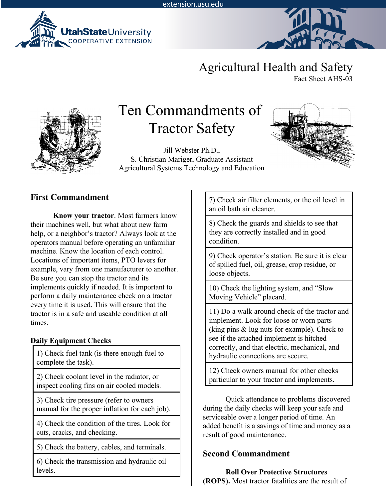



# Agricultural Health and Safety

Fact Sheet AHS-03



# Ten Commandments of Tractor Safety

Jill Webster Ph.D., S. Christian Mariger, Graduate Assistant Agricultural Systems Technology and Education



# **First Commandment**

**Know your tractor**. Most farmers know their machines well, but what about new farm help, or a neighbor's tractor? Always look at the operators manual before operating an unfamiliar machine. Know the location of each control. Locations of important items, PTO levers for example, vary from one manufacturer to another. Be sure you can stop the tractor and its implements quickly if needed. It is important to perform a daily maintenance check on a tractor every time it is used. This will ensure that the tractor is in a safe and useable condition at all times.

#### **Daily Equipment Checks**

1) Check fuel tank (is there enough fuel to complete the task).

2) Check coolant level in the radiator, or inspect cooling fins on air cooled models.

3) Check tire pressure (refer to owners manual for the proper inflation for each job).

4) Check the condition of the tires. Look for cuts, cracks, and checking.

5) Check the battery, cables, and terminals.

6) Check the transmission and hydraulic oil levels.

7) Check air filter elements, or the oil level in an oil bath air cleaner.

8) Check the guards and shields to see that they are correctly installed and in good condition.

9) Check operator's station. Be sure it is clear of spilled fuel, oil, grease, crop residue, or loose objects.

10) Check the lighting system, and "Slow Moving Vehicle" placard.

11) Do a walk around check of the tractor and implement. Look for loose or worn parts (king pins & lug nuts for example). Check to see if the attached implement is hitched correctly, and that electric, mechanical, and hydraulic connections are secure.

12) Check owners manual for other checks particular to your tractor and implements.

Quick attendance to problems discovered during the daily checks will keep your safe and serviceable over a longer period of time. An added benefit is a savings of time and money as a result of good maintenance.

# **Second Commandment**

**Roll Over Protective Structures (ROPS).** Most tractor fatalities are the result of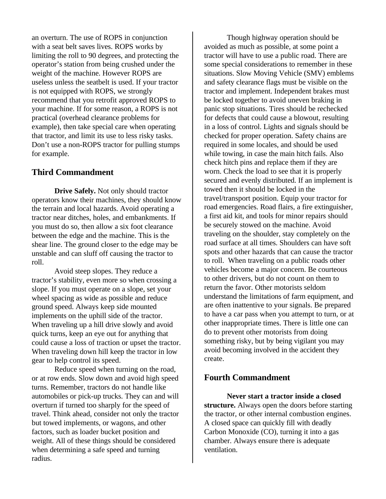an overturn. The use of ROPS in conjunction with a seat belt saves lives. ROPS works by limiting the roll to 90 degrees, and protecting the operator's station from being crushed under the weight of the machine. However ROPS are useless unless the seatbelt is used. If your tractor is not equipped with ROPS, we strongly recommend that you retrofit approved ROPS to your machine. If for some reason, a ROPS is not practical (overhead clearance problems for example), then take special care when operating that tractor, and limit its use to less risky tasks. Don't use a non-ROPS tractor for pulling stumps for example.

#### **Third Commandment**

**Drive Safely.** Not only should tractor operators know their machines, they should know the terrain and local hazards. Avoid operating a tractor near ditches, holes, and embankments. If you must do so, then allow a six foot clearance between the edge and the machine. This is the shear line. The ground closer to the edge may be unstable and can sluff off causing the tractor to roll.

Avoid steep slopes. They reduce a tractor's stability, even more so when crossing a slope. If you must operate on a slope, set your wheel spacing as wide as possible and reduce ground speed. Always keep side mounted implements on the uphill side of the tractor. When traveling up a hill drive slowly and avoid quick turns, keep an eye out for anything that could cause a loss of traction or upset the tractor. When traveling down hill keep the tractor in low gear to help control its speed.

Reduce speed when turning on the road, or at row ends. Slow down and avoid high speed turns. Remember, tractors do not handle like automobiles or pick-up trucks. They can and will overturn if turned too sharply for the speed of travel. Think ahead, consider not only the tractor but towed implements, or wagons, and other factors, such as loader bucket position and weight. All of these things should be considered when determining a safe speed and turning radius.

Though highway operation should be avoided as much as possible, at some point a tractor will have to use a public road. There are some special considerations to remember in these situations. Slow Moving Vehicle (SMV) emblems and safety clearance flags must be visible on the tractor and implement. Independent brakes must be locked together to avoid uneven braking in panic stop situations. Tires should be rechecked for defects that could cause a blowout, resulting in a loss of control. Lights and signals should be checked for proper operation. Safety chains are required in some locales, and should be used while towing, in case the main hitch fails. Also check hitch pins and replace them if they are worn. Check the load to see that it is properly secured and evenly distributed. If an implement is towed then it should be locked in the travel/transport position. Equip your tractor for road emergencies. Road flairs, a fire extinguisher, a first aid kit, and tools for minor repairs should be securely stowed on the machine. Avoid traveling on the shoulder, stay completely on the road surface at all times. Shoulders can have soft spots and other hazards that can cause the tractor to roll. When traveling on a public roads other vehicles become a major concern. Be courteous to other drivers, but do not count on them to return the favor. Other motorists seldom understand the limitations of farm equipment, and are often inattentive to your signals. Be prepared to have a car pass when you attempt to turn, or at other inappropriate times. There is little one can do to prevent other motorists from doing something risky, but by being vigilant you may avoid becoming involved in the accident they create.

#### **Fourth Commandment**

**Never start a tractor inside a closed structure.** Always open the doors before starting the tractor, or other internal combustion engines. A closed space can quickly fill with deadly Carbon Monoxide (CO), turning it into a gas chamber. Always ensure there is adequate ventilation.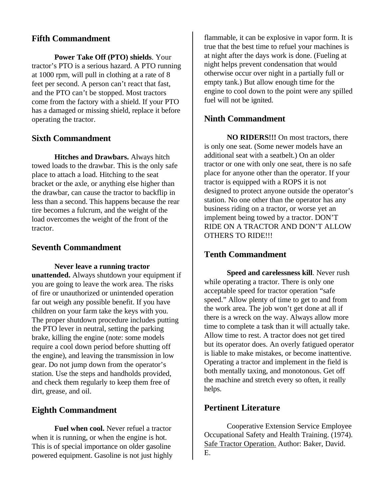#### **Fifth Commandment**

**Power Take Off (PTO) shields**. Your tractor's PTO is a serious hazard. A PTO running at 1000 rpm, will pull in clothing at a rate of 8 feet per second. A person can't react that fast, and the PTO can't be stopped. Most tractors come from the factory with a shield. If your PTO has a damaged or missing shield, replace it before operating the tractor.

### **Sixth Commandment**

 **Hitches and Drawbars.** Always hitch towed loads to the drawbar. This is the only safe place to attach a load. Hitching to the seat bracket or the axle, or anything else higher than the drawbar, can cause the tractor to backflip in less than a second. This happens because the rear tire becomes a fulcrum, and the weight of the load overcomes the weight of the front of the tractor.

#### **Seventh Commandment**

**Never leave a running tractor unattended.** Always shutdown your equipment if you are going to leave the work area. The risks of fire or unauthorized or unintended operation far out weigh any possible benefit. If you have children on your farm take the keys with you. The proper shutdown procedure includes putting the PTO lever in neutral, setting the parking brake, killing the engine (note: some models require a cool down period before shutting off the engine), and leaving the transmission in low gear. Do not jump down from the operator's station. Use the steps and handholds provided, and check them regularly to keep them free of dirt, grease, and oil.

#### **Eighth Commandment**

**Fuel when cool.** Never refuel a tractor when it is running, or when the engine is hot. This is of special importance on older gasoline powered equipment. Gasoline is not just highly flammable, it can be explosive in vapor form. It is true that the best time to refuel your machines is at night after the days work is done. (Fueling at night helps prevent condensation that would otherwise occur over night in a partially full or empty tank.) But allow enough time for the engine to cool down to the point were any spilled fuel will not be ignited.

# **Ninth Commandment**

**NO RIDERS!!!** On most tractors, there is only one seat. (Some newer models have an additional seat with a seatbelt.) On an older tractor or one with only one seat, there is no safe place for anyone other than the operator. If your tractor is equipped with a ROPS it is not designed to protect anyone outside the operator's station. No one other than the operator has any business riding on a tractor, or worse yet an implement being towed by a tractor. DON'T RIDE ON A TRACTOR AND DON'T ALLOW OTHERS TO RIDE!!!

# **Tenth Commandment**

**Speed and carelessness kill**. Never rush while operating a tractor. There is only one acceptable speed for tractor operation "safe speed." Allow plenty of time to get to and from the work area. The job won't get done at all if there is a wreck on the way. Always allow more time to complete a task than it will actually take. Allow time to rest. A tractor does not get tired but its operator does. An overly fatigued operator is liable to make mistakes, or become inattentive. Operating a tractor and implement in the field is both mentally taxing, and monotonous. Get off the machine and stretch every so often, it really helps.

#### **Pertinent Literature**

Cooperative Extension Service Employee Occupational Safety and Health Training. (1974). Safe Tractor Operation. Author: Baker, David. E.